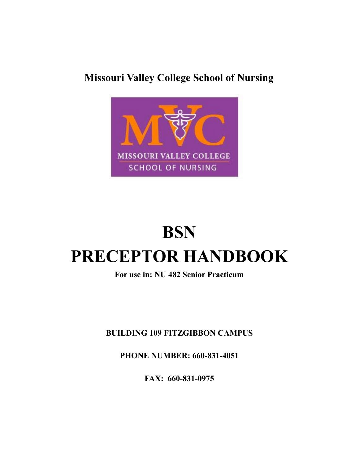# **Missouri Valley College School of Nursing**



# **BSN PRECEPTOR HANDBOOK**

## **For use in: NU 482 Senior Practicum**

**BUILDING 109 FITZGIBBON CAMPUS**

**PHONE NUMBER: 660-831-4051**

**FAX: 660-831-0975**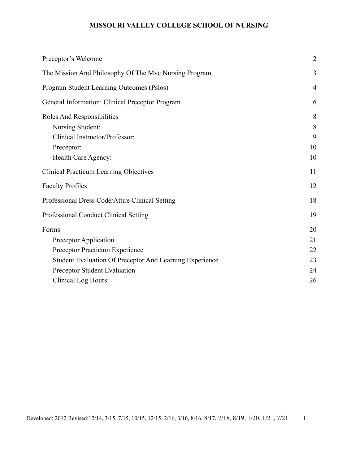| Preceptor's Welcome                                     | $\overline{2}$ |
|---------------------------------------------------------|----------------|
| The Mission And Philosophy Of The Mvc Nursing Program   | 3              |
| Program Student Learning Outcomes (Pslos)               | $\overline{4}$ |
| General Information: Clinical Preceptor Program         | 6              |
| Roles And Responsibilities<br>Nursing Student:          | 8<br>8         |
| Clinical Instructor/Professor:                          | 9              |
| Preceptor:                                              | 10             |
| Health Care Agency:                                     | 10             |
| <b>Clinical Practicum Learning Objectives</b>           | 11             |
| <b>Faculty Profiles</b>                                 | 12             |
| Professional Dress Code/Attire Clinical Setting         | 18             |
| Professional Conduct Clinical Setting                   | 19             |
| Forms                                                   | 20             |
| Preceptor Application                                   | 21             |
| Preceptor Practicum Experience                          | 22             |
| Student Evaluation Of Preceptor And Learning Experience | 23             |
| Preceptor Student Evaluation                            | 24             |
| Clinical Log Hours:                                     | 26             |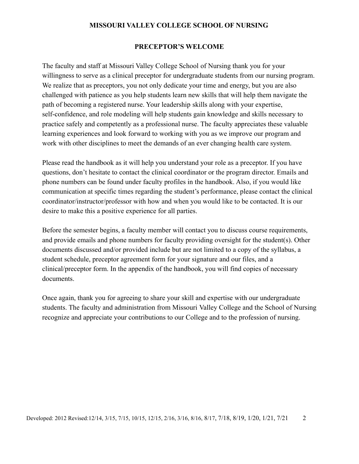#### **PRECEPTOR'S WELCOME**

<span id="page-2-0"></span>The faculty and staff at Missouri Valley College School of Nursing thank you for your willingness to serve as a clinical preceptor for undergraduate students from our nursing program. We realize that as preceptors, you not only dedicate your time and energy, but you are also challenged with patience as you help students learn new skills that will help them navigate the path of becoming a registered nurse. Your leadership skills along with your expertise, self-confidence, and role modeling will help students gain knowledge and skills necessary to practice safely and competently as a professional nurse. The faculty appreciates these valuable learning experiences and look forward to working with you as we improve our program and work with other disciplines to meet the demands of an ever changing health care system.

Please read the handbook as it will help you understand your role as a preceptor. If you have questions, don't hesitate to contact the clinical coordinator or the program director. Emails and phone numbers can be found under faculty profiles in the handbook. Also, if you would like communication at specific times regarding the student's performance, please contact the clinical coordinator/instructor/professor with how and when you would like to be contacted. It is our desire to make this a positive experience for all parties.

Before the semester begins, a faculty member will contact you to discuss course requirements, and provide emails and phone numbers for faculty providing oversight for the student(s). Other documents discussed and/or provided include but are not limited to a copy of the syllabus, a student schedule, preceptor agreement form for your signature and our files, and a clinical/preceptor form. In the appendix of the handbook, you will find copies of necessary documents.

Once again, thank you for agreeing to share your skill and expertise with our undergraduate students. The faculty and administration from Missouri Valley College and the School of Nursing recognize and appreciate your contributions to our College and to the profession of nursing.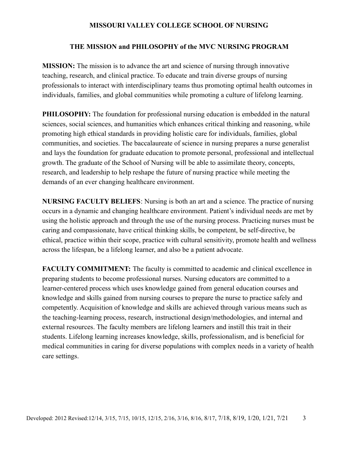#### **THE MISSION and PHILOSOPHY of the MVC NURSING PROGRAM**

<span id="page-3-0"></span>**MISSION:** The mission is to advance the art and science of nursing through innovative teaching, research, and clinical practice. To educate and train diverse groups of nursing professionals to interact with interdisciplinary teams thus promoting optimal health outcomes in individuals, families, and global communities while promoting a culture of lifelong learning.

**PHILOSOPHY:** The foundation for professional nursing education is embedded in the natural sciences, social sciences, and humanities which enhances critical thinking and reasoning, while promoting high ethical standards in providing holistic care for individuals, families, global communities, and societies. The baccalaureate of science in nursing prepares a nurse generalist and lays the foundation for graduate education to promote personal, professional and intellectual growth. The graduate of the School of Nursing will be able to assimilate theory, concepts, research, and leadership to help reshape the future of nursing practice while meeting the demands of an ever changing healthcare environment.

**NURSING FACULTY BELIEFS**: Nursing is both an art and a science. The practice of nursing occurs in a dynamic and changing healthcare environment. Patient's individual needs are met by using the holistic approach and through the use of the nursing process. Practicing nurses must be caring and compassionate, have critical thinking skills, be competent, be self-directive, be ethical, practice within their scope, practice with cultural sensitivity, promote health and wellness across the lifespan, be a lifelong learner, and also be a patient advocate.

**FACULTY COMMITMENT:** The faculty is committed to academic and clinical excellence in preparing students to become professional nurses. Nursing educators are committed to a learner-centered process which uses knowledge gained from general education courses and knowledge and skills gained from nursing courses to prepare the nurse to practice safely and competently. Acquisition of knowledge and skills are achieved through various means such as the teaching-learning process, research, instructional design/methodologies, and internal and external resources. The faculty members are lifelong learners and instill this trait in their students. Lifelong learning increases knowledge, skills, professionalism, and is beneficial for medical communities in caring for diverse populations with complex needs in a variety of health care settings.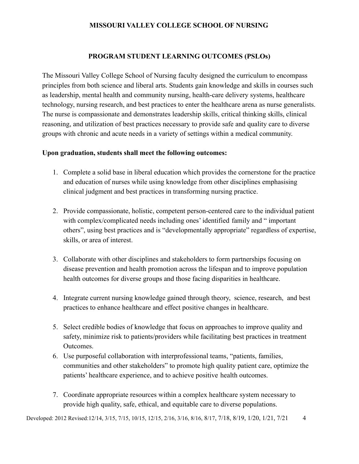## **PROGRAM STUDENT LEARNING OUTCOMES (PSLOs)**

The Missouri Valley College School of Nursing faculty designed the curriculum to encompass principles from both science and liberal arts. Students gain knowledge and skills in courses such as leadership, mental health and community nursing, health-care delivery systems, healthcare technology, nursing research, and best practices to enter the healthcare arena as nurse generalists. The nurse is compassionate and demonstrates leadership skills, critical thinking skills, clinical reasoning, and utilization of best practices necessary to provide safe and quality care to diverse groups with chronic and acute needs in a variety of settings within a medical community.

#### **Upon graduation, students shall meet the following outcomes:**

- 1. Complete a solid base in liberal education which provides the cornerstone for the practice and education of nurses while using knowledge from other disciplines emphasising clinical judgment and best practices in transforming nursing practice.
- 2. Provide compassionate, holistic, competent person-centered care to the individual patient with complex/complicated needs including ones' identified family and " important others", using best practices and is "developmentally appropriate" regardless of expertise, skills, or area of interest.
- 3. Collaborate with other disciplines and stakeholders to form partnerships focusing on disease prevention and health promotion across the lifespan and to improve population health outcomes for diverse groups and those facing disparities in healthcare.
- 4. Integrate current nursing knowledge gained through theory, science, research, and best practices to enhance healthcare and effect positive changes in healthcare.
- 5. Select credible bodies of knowledge that focus on approaches to improve quality and safety, minimize risk to patients/providers while facilitating best practices in treatment Outcomes.
- 6. Use purposeful collaboration with interprofessional teams, "patients, families, communities and other stakeholders" to promote high quality patient care, optimize the patients' healthcare experience, and to achieve positive health outcomes.
- 7. Coordinate appropriate resources within a complex healthcare system necessary to provide high quality, safe, ethical, and equitable care to diverse populations.

Developed: 2012 Revised: 12/14, 3/15, 7/15, 10/15, 12/15, 2/16, 3/16, 8/16, 8/17, 7/18, 8/19, 1/20, 1/21, 7/21 4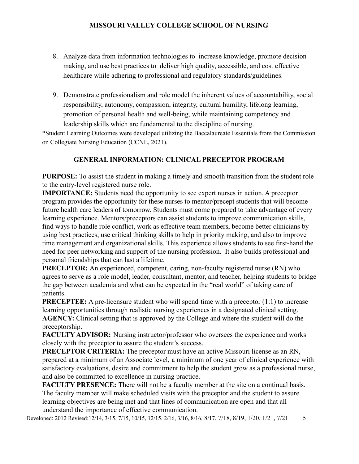- 8. Analyze data from information technologies to increase knowledge, promote decision making, and use best practices to deliver high quality, accessible, and cost effective healthcare while adhering to professional and regulatory standards/guidelines.
- 9. Demonstrate professionalism and role model the inherent values of accountability, social responsibility, autonomy, compassion, integrity, cultural humility, lifelong learning, promotion of personal health and well-being, while maintaining competency and leadership skills which are fundamental to the discipline of nursing.

\*Student Learning Outcomes were developed utilizing the Baccalaureate Essentials from the Commission on Collegiate Nursing Education (CCNE, 2021).

## **GENERAL INFORMATION: CLINICAL PRECEPTOR PROGRAM**

**PURPOSE:** To assist the student in making a timely and smooth transition from the student role to the entry-level registered nurse role.

**IMPORTANCE:** Students need the opportunity to see expert nurses in action. A preceptor program provides the opportunity for these nurses to mentor/precept students that will become future health care leaders of tomorrow. Students must come prepared to take advantage of every learning experience. Mentors/preceptors can assist students to improve communication skills, find ways to handle role conflict, work as effective team members, become better clinicians by using best practices, use critical thinking skills to help in priority making, and also to improve time management and organizational skills. This experience allows students to see first-hand the need for peer networking and support of the nursing profession. It also builds professional and personal friendships that can last a lifetime.

**PRECEPTOR:** An experienced, competent, caring, non-faculty registered nurse (RN) who agrees to serve as a role model, leader, consultant, mentor, and teacher, helping students to bridge the gap between academia and what can be expected in the "real world" of taking care of patients.

**PRECEPTEE:** A pre-licensure student who will spend time with a preceptor (1:1) to increase learning opportunities through realistic nursing experiences in a designated clinical setting. **AGENCY:** Clinical setting that is approved by the College and where the student will do the preceptorship.

**FACULTY ADVISOR:** Nursing instructor/professor who oversees the experience and works closely with the preceptor to assure the student's success.

**PRECEPTOR CRITERIA:** The preceptor must have an active Missouri license as an RN, prepared at a minimum of an Associate level, a minimum of one year of clinical experience with satisfactory evaluations, desire and commitment to help the student grow as a professional nurse, and also be committed to excellence in nursing practice.

**FACULTY PRESENCE:** There will not be a faculty member at the site on a continual basis. The faculty member will make scheduled visits with the preceptor and the student to assure learning objectives are being met and that lines of communication are open and that all understand the importance of effective communication.

Developed: 2012 Revised: 12/14, 3/15, 7/15, 10/15, 12/15, 2/16, 3/16, 8/16, 8/17, 7/18, 8/19, 1/20, 1/21, 7/21 5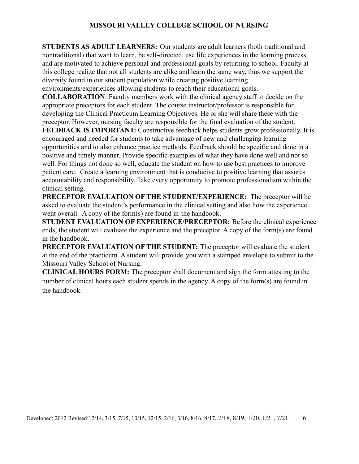**STUDENTS AS ADULT LEARNERS:** Our students are adult learners (both traditional and nontraditional) that want to learn, be self-directed, use life experiences in the learning process, and are motivated to achieve personal and professional goals by returning to school. Faculty at this college realize that not all students are alike and learn the same way, thus we support the diversity found in our student population while creating positive learning environments/experiences allowing students to reach their educational goals.

**COLLABORATION**: Faculty members work with the clinical agency staff to decide on the

appropriate preceptors for each student. The course instructor/professor is responsible for developing the Clinical Practicum Learning Objectives. He or she will share these with the preceptor. However, nursing faculty are responsible for the final evaluation of the student.

**FEEDBACK IS IMPORTANT:** Constructive feedback helps students grow professionally. It is encouraged and needed for students to take advantage of new and challenging learning opportunities and to also enhance practice methods. Feedback should be specific and done in a positive and timely manner. Provide specific examples of what they have done well and not so well. For things not done so well, educate the student on how to use best practices to improve patient care. Create a learning environment that is conducive to positive learning that assures accountability and responsibility. Take every opportunity to promote professionalism within the clinical setting.

**PRECEPTOR EVALUATION OF THE STUDENT/EXPERIENCE:** The preceptor will be asked to evaluate the student's performance in the clinical setting and also how the experience went overall. A copy of the form(s) are found in the handbook.

**STUDENT EVALUATION OF EXPERIENCE/PRECEPTOR:** Before the clinical experience ends, the student will evaluate the experience and the preceptor. A copy of the form(s) are found in the handbook.

**PRECEPTOR EVALUATION OF THE STUDENT:** The preceptor will evaluate the student at the end of the practicum. A student will provide you with a stamped envelope to submit to the Missouri Valley School of Nursing.

**CLINICAL HOURS FORM:** The preceptor shall document and sign the form attesting to the number of clinical hours each student spends in the agency. A copy of the form(s) are found in the handbook.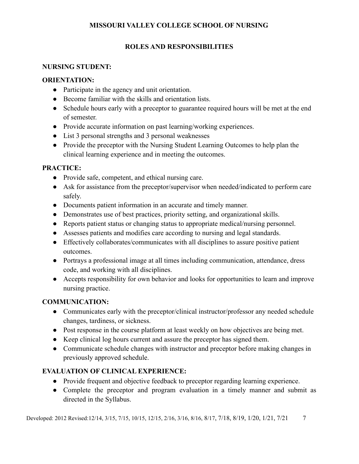## **ROLES AND RESPONSIBILITIES**

## <span id="page-7-1"></span><span id="page-7-0"></span>**NURSING STUDENT:**

## **ORIENTATION:**

- Participate in the agency and unit orientation.
- Become familiar with the skills and orientation lists.
- Schedule hours early with a preceptor to guarantee required hours will be met at the end of semester.
- Provide accurate information on past learning/working experiences.
- List 3 personal strengths and 3 personal weaknesses
- Provide the preceptor with the Nursing Student Learning Outcomes to help plan the clinical learning experience and in meeting the outcomes.

## **PRACTICE:**

- Provide safe, competent, and ethical nursing care.
- Ask for assistance from the preceptor/supervisor when needed/indicated to perform care safely.
- Documents patient information in an accurate and timely manner.
- Demonstrates use of best practices, priority setting, and organizational skills.
- Reports patient status or changing status to appropriate medical/nursing personnel.
- Assesses patients and modifies care according to nursing and legal standards.
- Effectively collaborates/communicates with all disciplines to assure positive patient outcomes.
- Portrays a professional image at all times including communication, attendance, dress code, and working with all disciplines.
- Accepts responsibility for own behavior and looks for opportunities to learn and improve nursing practice.

## **COMMUNICATION:**

- Communicates early with the preceptor/clinical instructor/professor any needed schedule changes, tardiness, or sickness.
- Post response in the course platform at least weekly on how objectives are being met.
- Keep clinical log hours current and assure the preceptor has signed them.
- Communicate schedule changes with instructor and preceptor before making changes in previously approved schedule.

## **EVALUATION OF CLINICAL EXPERIENCE:**

- Provide frequent and objective feedback to preceptor regarding learning experience.
- **●** Complete the preceptor and program evaluation in a timely manner and submit as directed in the Syllabus.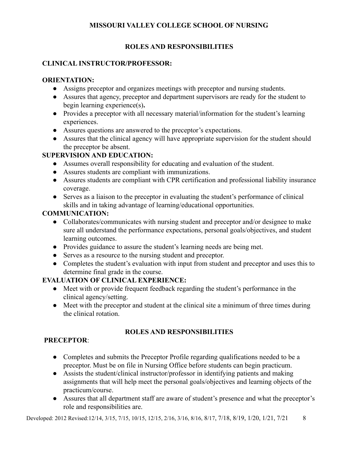## **ROLES AND RESPONSIBILITIES**

## <span id="page-8-0"></span>**CLINICAL INSTRUCTOR/PROFESSOR:**

## **ORIENTATION:**

- Assigns preceptor and organizes meetings with preceptor and nursing students.
- **●** Assures that agency, preceptor and department supervisors are ready for the student to begin learning experience(s)**.**
- Provides a preceptor with all necessary material/information for the student's learning experiences.
- Assures questions are answered to the preceptor's expectations.
- Assures that the clinical agency will have appropriate supervision for the student should the preceptor be absent.

## **SUPERVISION AND EDUCATION:**

- Assumes overall responsibility for educating and evaluation of the student.
- Assures students are compliant with immunizations.
- Assures students are compliant with CPR certification and professional liability insurance coverage.
- Serves as a liaison to the preceptor in evaluating the student's performance of clinical skills and in taking advantage of learning/educational opportunities.

## **COMMUNICATION:**

- Collaborates/communicates with nursing student and preceptor and/or designee to make sure all understand the performance expectations, personal goals/objectives, and student learning outcomes.
- Provides guidance to assure the student's learning needs are being met.
- Serves as a resource to the nursing student and preceptor.
- Completes the student's evaluation with input from student and preceptor and uses this to determine final grade in the course.

## **EVALUATION OF CLINICAL EXPERIENCE:**

- Meet with or provide frequent feedback regarding the student's performance in the clinical agency/setting.
- Meet with the preceptor and student at the clinical site a minimum of three times during the clinical rotation.

## **ROLES AND RESPONSIBILITIES**

## <span id="page-8-1"></span>**PRECEPTOR**:

- Completes and submits the Preceptor Profile regarding qualifications needed to be a preceptor. Must be on file in Nursing Office before students can begin practicum.
- Assists the student/clinical instructor/professor in identifying patients and making assignments that will help meet the personal goals/objectives and learning objects of the practicum/course.
- Assures that all department staff are aware of student's presence and what the preceptor's role and responsibilities are.

Developed: 2012 Revised: 12/14, 3/15, 7/15, 10/15, 12/15, 2/16, 3/16, 8/16, 8/17, 7/18, 8/19, 1/20, 1/21, 7/21 8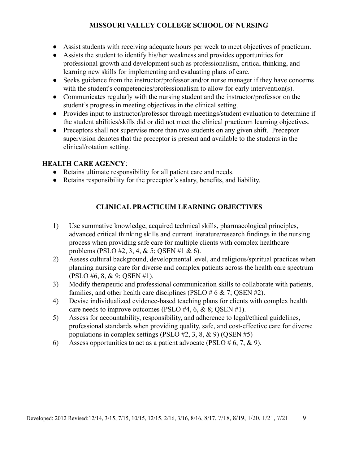- Assist students with receiving adequate hours per week to meet objectives of practicum.
- Assists the student to identify his/her weakness and provides opportunities for professional growth and development such as professionalism, critical thinking, and learning new skills for implementing and evaluating plans of care.
- Seeks guidance from the instructor/professor and/or nurse manager if they have concerns with the student's competencies/professionalism to allow for early intervention(s).
- Communicates regularly with the nursing student and the instructor/professor on the student's progress in meeting objectives in the clinical setting.
- Provides input to instructor/professor through meetings/student evaluation to determine if the student abilities/skills did or did not meet the clinical practicum learning objectives.
- Preceptors shall not supervise more than two students on any given shift. Preceptor supervision denotes that the preceptor is present and available to the students in the clinical/rotation setting.

## <span id="page-9-0"></span>**HEALTH CARE AGENCY**:

- Retains ultimate responsibility for all patient care and needs.
- <span id="page-9-1"></span>● Retains responsibility for the preceptor's salary, benefits, and liability.

## **CLINICAL PRACTICUM LEARNING OBJECTIVES**

- 1) Use summative knowledge, acquired technical skills, pharmacological principles, advanced critical thinking skills and current literature/research findings in the nursing process when providing safe care for multiple clients with complex healthcare problems (PSLO #2, 3, 4, & 5; QSEN #1 & 6).
- 2) Assess cultural background, developmental level, and religious/spiritual practices when planning nursing care for diverse and complex patients across the health care spectrum (PSLO #6, 8, & 9; QSEN #1).
- 3) Modify therapeutic and professional communication skills to collaborate with patients, families, and other health care disciplines (PSLO  $# 6 \& 7$ ; QSEN  $#2$ ).
- 4) Devise individualized evidence-based teaching plans for clients with complex health care needs to improve outcomes (PSLO #4, 6, & 8; QSEN #1).
- 5) Assess for accountability, responsibility, and adherence to legal/ethical guidelines, professional standards when providing quality, safe, and cost-effective care for diverse populations in complex settings (PSLO  $#2, 3, 8, \& 9$ ) (QSEN  $#5$ )
- 6) Assess opportunities to act as a patient advocate (PSLO  $# 6, 7, \& 9$ ).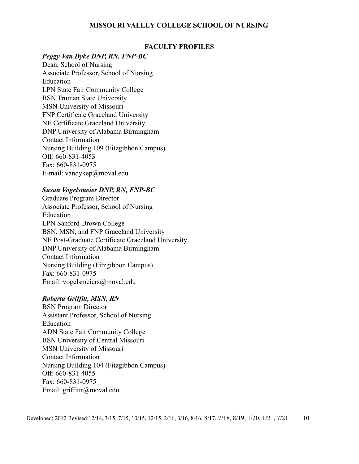#### **FACULTY PROFILES**

#### *Peggy Van Dyke DNP, RN, FNP-BC*

Dean, School of Nursing Associate Professor, School of Nursing Education LPN State Fair Community College BSN Truman State University MSN University of Missouri FNP Certificate Graceland University NE Certificate Graceland University DNP University of Alabama Birmingham Contact Information Nursing Building 109 (Fitzgibbon Campus) Off: 660-831-4053 Fax: 660-831-0975 E-mail: [vandykep@moval.edu](mailto:vandykep@moval.edu)

#### *Susan Vogelsmeier DNP, RN, FNP-BC*

Graduate Program Director Associate Professor, School of Nursing Education LPN Sanford-Brown College BSN, MSN, and FNP Graceland University NE Post-Graduate Certificate Graceland University DNP University of Alabama Birmingham Contact Information Nursing Building (Fitzgibbon Campus) Fax: 660-831-0975 Email: [vogelsmeiers@moval.edu](mailto:vogelsmeiers@moval.edu)

#### *Roberta Griffitt, MSN, RN*

BSN Program Director Assistant Professor, School of Nursing Education ADN State Fair Community College BSN University of Central Missouri MSN University of Missouri Contact Information Nursing Building 104 (Fitzgibbon Campus) Off: 660-831-4055 Fax: 660-831-0975 Email: griffittr@moval.edu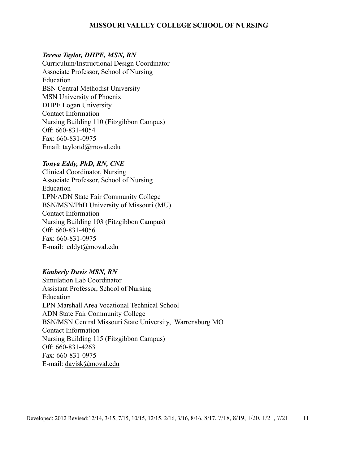#### *Teresa Taylor, DHPE, MSN, RN*

Curriculum/Instructional Design Coordinator Associate Professor, School of Nursing Education BSN Central Methodist University MSN University of Phoenix DHPE Logan University Contact Information Nursing Building 110 (Fitzgibbon Campus) Off: 660-831-4054 Fax: 660-831-0975 Email: [taylortd@moval.edu](mailto:taylortd@moval.edu)

#### *Tonya Eddy, PhD, RN, CNE*

Clinical Coordinator, Nursing Associate Professor, School of Nursing Education LPN/ADN State Fair Community College BSN/MSN/PhD University of Missouri (MU) Contact Information Nursing Building 103 (Fitzgibbon Campus) Off: 660-831-4056 Fax: 660-831-0975 E-mail: eddyt[@moval.edu](mailto:eddyt@moval.edu)

#### *Kimberly Davis MSN, RN*

Simulation Lab Coordinator Assistant Professor, School of Nursing Education LPN Marshall Area Vocational Technical School ADN State Fair Community College BSN/MSN Central Missouri State University, Warrensburg MO Contact Information Nursing Building 115 (Fitzgibbon Campus) Off: 660-831-4263 Fax: 660-831-0975 E-mail: [davisk@moval.edu](https://mail.google.com/mail/?view=cm&fs=1&tf=1&to=email@moval.edu)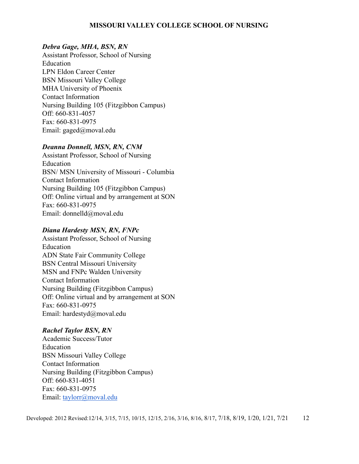#### *Debra Gage, MHA, BSN, RN*

Assistant Professor, School of Nursing Education LPN Eldon Career Center BSN Missouri Valley College MHA University of Phoenix Contact Information Nursing Building 105 (Fitzgibbon Campus) Off: 660-831-4057 Fax: 660-831-0975 Email: gaged[@moval.edu](mailto:belld@moval.edu)

#### *Deanna Donnell, MSN, RN, CNM*

Assistant Professor, School of Nursing Education BSN/ MSN University of Missouri - Columbia Contact Information Nursing Building 105 (Fitzgibbon Campus) Off: Online virtual and by arrangement at SON Fax: 660-831-0975 Email: donnelld@moval.edu

#### *Diana Hardesty MSN, RN, FNPc*

Assistant Professor, School of Nursing Education ADN State Fair Community College BSN Central Missouri University MSN and FNPc Walden University Contact Information Nursing Building (Fitzgibbon Campus) Off: Online virtual and by arrangement at SON Fax: 660-831-0975 Email: [hardestyd@moval.edu](mailto:hardestyd@moval.edu)

#### *Rachel Taylor BSN, RN*

Academic Success/Tutor Education BSN Missouri Valley College Contact Information Nursing Building (Fitzgibbon Campus) Off: 660-831-4051 Fax: 660-831-0975 Email: [taylorr@moval.edu](mailto:taylorr@moval.edu)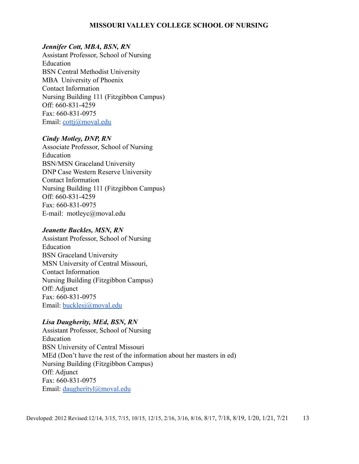#### *Jennifer Cott, MBA, BSN, RN*

Assistant Professor, School of Nursing Education BSN Central Methodist University MBA University of Phoenix Contact Information Nursing Building 111 (Fitzgibbon Campus) Off: 660-831-4259 Fax: 660-831-0975 Email: [cottj@moval.edu](mailto:cottj@moval.edu)

#### *Cindy Motley, DNP, RN*

Associate Professor, School of Nursing Education BSN/MSN Graceland University DNP Case Western Reserve University Contact Information Nursing Building 111 (Fitzgibbon Campus) Off: 660-831-4259 Fax: 660-831-0975 E-mail: motleyc[@moval.edu](mailto:eddyt@moval.edu)

#### *Jeanette Buckles, MSN, RN*

Assistant Professor, School of Nursing Education BSN Graceland University MSN University of Central Missouri, Contact Information Nursing Building (Fitzgibbon Campus) Off: Adjunct Fax: 660-831-0975 Email: [bucklesj@moval.edu](mailto:bucklesj@moval.edu)

#### *Lisa Daugherity, MEd, BSN, RN*

Assistant Professor, School of Nursing Education BSN University of Central Missouri MEd (Don't have the rest of the information about her masters in ed) Nursing Building (Fitzgibbon Campus) Off: Adjunct Fax: 660-831-0975 Email: [daugherityl@moval.edu](mailto:daugherityl@moval.edu)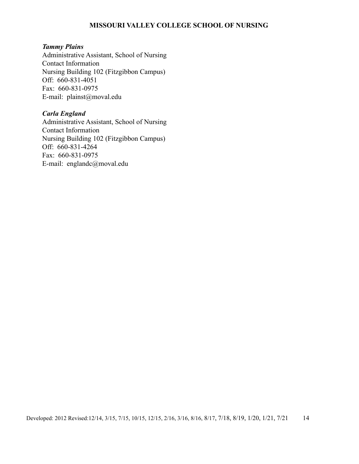#### *Tammy Plains*

Administrative Assistant, School of Nursing Contact Information Nursing Building 102 (Fitzgibbon Campus) Off: 660-831-4051 Fax: 660-831-0975 E-mail: [plainst@moval.edu](mailto:plainst@moval.edu)

#### *Carla England*

Administrative Assistant, School of Nursing Contact Information Nursing Building 102 (Fitzgibbon Campus) Off: 660-831-4264 Fax: 660-831-0975 E-mail: england[c@moval.edu](mailto:plainst@moval.edu)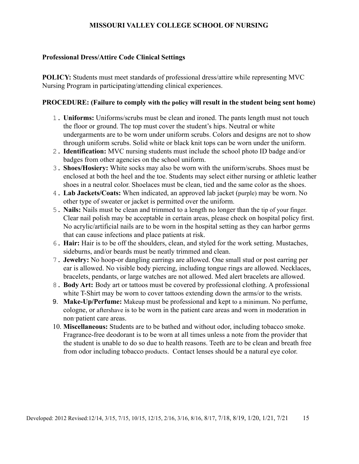#### **Professional Dress/Attire Code Clinical Settings**

**POLICY:** Students must meet standards of professional dress/attire while representing MVC Nursing Program in participating/attending clinical experiences.

#### **PROCEDURE: (Failure to comply with the policy will result in the student being sent home)**

- 1. **Uniforms:** Uniforms/scrubs must be clean and ironed. The pants length must not touch the floor or ground. The top must cover the student's hips. Neutral or white undergarments are to be worn under uniform scrubs. Colors and designs are not to show through uniform scrubs. Solid white or black knit tops can be worn under the uniform.
- 2. **Identification:** MVC nursing students must include the school photo ID badge and/or badges from other agencies on the school uniform.
- 3. **Shoes/Hosiery:** White socks may also be worn with the uniform/scrubs. Shoes must be enclosed at both the heel and the toe. Students may select either nursing or athletic leather shoes in a neutral color. Shoelaces must be clean, tied and the same color as the shoes.
- 4. **Lab Jackets/Coats:** When indicated, an approved lab jacket (purple) may be worn. No other type of sweater or jacket is permitted over the uniform.
- 5. **Nails:** Nails must be clean and trimmed to a length no longer than the tip of your finger. Clear nail polish may be acceptable in certain areas, please check on hospital policy first. No acrylic/artificial nails are to be worn in the hospital setting as they can harbor germs that can cause infections and place patients at risk.
- 6. **Hair:** Hair is to be off the shoulders, clean, and styled for the work setting. Mustaches, sideburns, and/or beards must be neatly trimmed and clean.
- 7. **Jewelry:** No hoop-or dangling earrings are allowed. One small stud or post earring per ear is allowed. No visible body piercing, including tongue rings are allowed. Necklaces, bracelets, pendants, or large watches are not allowed. Med alert bracelets are allowed.
- 8. **Body Art:** Body art or tattoos must be covered by professional clothing. A professional white T-Shirt may be worn to cover tattoos extending down the arms/or to the wrists.
- 9. **Make-Up/Perfume:** Makeup must be professional and kept to a minimum. No perfume, cologne, or aftershave is to be worn in the patient care areas and worn in moderation in non‑patient care areas.
- 10. **Miscellaneous:** Students are to be bathed and without odor, including tobacco smoke. Fragrance-free deodorant is to be worn at all times unless a note from the provider that the student is unable to do so due to health reasons. Teeth are to be clean and breath free from odor including tobacco products. Contact lenses should be a natural eye color.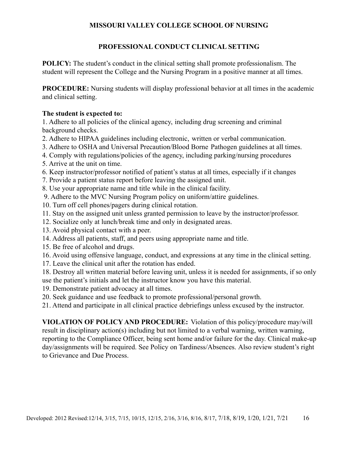## **PROFESSIONAL CONDUCT CLINICAL SETTING**

<span id="page-16-0"></span>**POLICY:** The student's conduct in the clinical setting shall promote professionalism. The student will represent the College and the Nursing Program in a positive manner at all times.

**PROCEDURE:** Nursing students will display professional behavior at all times in the academic and clinical setting.

## **The student is expected to:**

1. Adhere to all policies of the clinical agency, including drug screening and criminal background checks.

- 2. Adhere to HIPAA guidelines including electronic, written or verbal communication.
- 3. Adhere to OSHA and Universal Precaution/Blood Borne Pathogen guidelines at all times.
- 4. Comply with regulations/policies of the agency, including parking/nursing procedures
- 5. Arrive at the unit on time.
- 6. Keep instructor/professor notified of patient's status at all times, especially if it changes
- 7. Provide a patient status report before leaving the assigned unit.
- 8. Use your appropriate name and title while in the clinical facility.
- 9. Adhere to the MVC Nursing Program policy on uniform/attire guidelines.
- 10. Turn off cell phones/pagers during clinical rotation.
- 11. Stay on the assigned unit unless granted permission to leave by the instructor/professor.
- 12. Socialize only at lunch/break time and only in designated areas.
- 13. Avoid physical contact with a peer.
- 14. Address all patients, staff, and peers using appropriate name and title.
- 15. Be free of alcohol and drugs.
- 16. Avoid using offensive language, conduct, and expressions at any time in the clinical setting.
- 17. Leave the clinical unit after the rotation has ended.
- 18. Destroy all written material before leaving unit, unless it is needed for assignments, if so only use the patient's initials and let the instructor know you have this material.
- 19. Demonstrate patient advocacy at all times.
- 20. Seek guidance and use feedback to promote professional/personal growth.
- 21. Attend and participate in all clinical practice debriefings unless excused by the instructor.

**VIOLATION OF POLICY AND PROCEDURE:** Violation of this policy/procedure may/will result in disciplinary action(s) including but not limited to a verbal warning, written warning, reporting to the Compliance Officer, being sent home and/or failure for the day. Clinical make-up day/assignments will be required. See Policy on Tardiness/Absences. Also review student's right to Grievance and Due Process.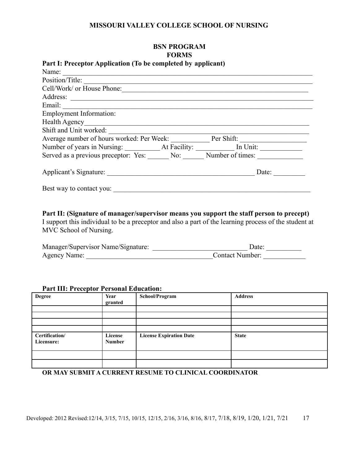## <span id="page-17-0"></span>**BSN PROGRAM FORMS Part I: Preceptor Application (To be completed by applicant)**

| Name:                                                     |       |
|-----------------------------------------------------------|-------|
| Position/Title:                                           |       |
| Cell/Work/ or House Phone:                                |       |
|                                                           |       |
|                                                           |       |
| <b>Employment Information:</b>                            |       |
| Health Agency                                             |       |
| Shift and Unit worked:                                    |       |
| Average number of hours worked: Per Week: Per Shift:      |       |
|                                                           |       |
| Served as a previous preceptor: Yes: No: Number of times: |       |
|                                                           | Date: |
| Best way to contact you:                                  |       |

**Part II: (Signature of manager/supervisor means you support the staff person to precept)**

I support this individual to be a preceptor and also a part of the learning process of the student at MVC School of Nursing.

| Manager/Supervisor Name/Signature: | Date:                  |
|------------------------------------|------------------------|
| Agency Name:                       | <b>Contact Number:</b> |

#### **Part III: Preceptor Personal Education:**

| <b>Degree</b>                | Year<br>granted          | School/Program                 | <b>Address</b> |
|------------------------------|--------------------------|--------------------------------|----------------|
|                              |                          |                                |                |
|                              |                          |                                |                |
|                              |                          |                                |                |
|                              |                          |                                |                |
| Certification/<br>Licensure: | License<br><b>Number</b> | <b>License Expiration Date</b> | <b>State</b>   |
|                              |                          |                                |                |
|                              |                          |                                |                |

**OR MAY SUBMIT A CURRENT RESUME TO CLINICAL COORDINATOR**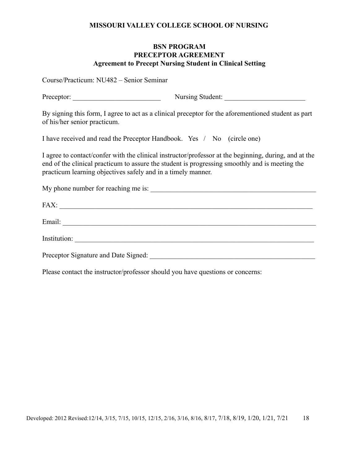#### **BSN PROGRAM PRECEPTOR AGREEMENT Agreement to Precept Nursing Student in Clinical Setting**

<span id="page-18-0"></span>Course/Practicum: NU482 – Senior Seminar

| Preceptor: | Nursing Student: |  |
|------------|------------------|--|
|            |                  |  |

By signing this form, I agree to act as a clinical preceptor for the aforementioned student as part of his/her senior practicum.

I have received and read the Preceptor Handbook. Yes / No (circle one)

I agree to contact/confer with the clinical instructor/professor at the beginning, during, and at the end of the clinical practicum to assure the student is progressing smoothly and is meeting the practicum learning objectives safely and in a timely manner.

My phone number for reaching me is:

| FAX:                                 |
|--------------------------------------|
| Email:                               |
| Institution:                         |
| Preceptor Signature and Date Signed: |

Please contact the instructor/professor should you have questions or concerns: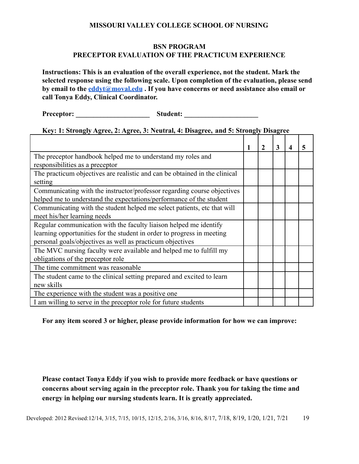#### **BSN PROGRAM PRECEPTOR EVALUATION OF THE PRACTICUM EXPERIENCE**

<span id="page-19-0"></span>**Instructions: This is an evaluation of the overall experience, not the student. Mark the selected response using the following scale. Upon completion of the evaluation, please send by email to the [eddyt@moval.edu](mailto:eddyt@moval.edu) . If you have concerns or need assistance also email or call Tonya Eddy, Clinical Coordinator.**

**Preceptor: \_\_\_\_\_\_\_\_\_\_\_\_\_\_\_\_\_\_\_\_\_ Student: \_\_\_\_\_\_\_\_\_\_\_\_\_\_\_\_\_\_\_\_\_**

#### **Key: 1: Strongly Agree, 2: Agree, 3: Neutral, 4: Disagree, and 5: Strongly Disagree**

|                                                                            |  | 3 | 4 | 5 |
|----------------------------------------------------------------------------|--|---|---|---|
| The preceptor handbook helped me to understand my roles and                |  |   |   |   |
| responsibilities as a preceptor                                            |  |   |   |   |
| The practicum objectives are realistic and can be obtained in the clinical |  |   |   |   |
| setting                                                                    |  |   |   |   |
| Communicating with the instructor/professor regarding course objectives    |  |   |   |   |
| helped me to understand the expectations/performance of the student        |  |   |   |   |
| Communicating with the student helped me select patients, etc that will    |  |   |   |   |
| meet his/her learning needs                                                |  |   |   |   |
| Regular communication with the faculty liaison helped me identify          |  |   |   |   |
| learning opportunities for the student in order to progress in meeting     |  |   |   |   |
| personal goals/objectives as well as practicum objectives                  |  |   |   |   |
| The MVC nursing faculty were available and helped me to fulfill my         |  |   |   |   |
| obligations of the preceptor role                                          |  |   |   |   |
| The time commitment was reasonable                                         |  |   |   |   |
| The student came to the clinical setting prepared and excited to learn     |  |   |   |   |
| new skills                                                                 |  |   |   |   |
| The experience with the student was a positive one                         |  |   |   |   |
| I am willing to serve in the preceptor role for future students            |  |   |   |   |

**For any item scored 3 or higher, please provide information for how we can improve:**

**Please contact Tonya Eddy if you wish to provide more feedback or have questions or concerns about serving again in the preceptor role. Thank you for taking the time and energy in helping our nursing students learn. It is greatly appreciated.**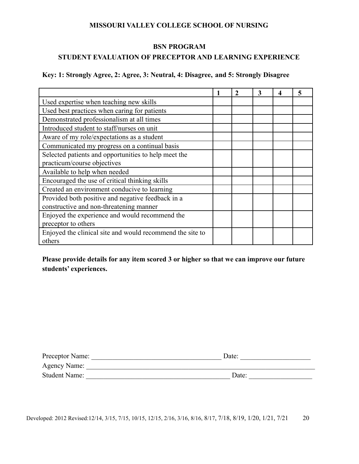### **BSN PROGRAM**

## <span id="page-20-0"></span>**STUDENT EVALUATION OF PRECEPTOR AND LEARNING EXPERIENCE**

## **Key: 1: Strongly Agree, 2: Agree, 3: Neutral, 4: Disagree, and 5: Strongly Disagree**

|                                                           | 2 | 3 |  |
|-----------------------------------------------------------|---|---|--|
| Used expertise when teaching new skills                   |   |   |  |
| Used best practices when caring for patients              |   |   |  |
| Demonstrated professionalism at all times                 |   |   |  |
| Introduced student to staff/nurses on unit                |   |   |  |
| Aware of my role/expectations as a student                |   |   |  |
| Communicated my progress on a continual basis             |   |   |  |
| Selected patients and opportunities to help meet the      |   |   |  |
| practicum/course objectives                               |   |   |  |
| Available to help when needed                             |   |   |  |
| Encouraged the use of critical thinking skills            |   |   |  |
| Created an environment conducive to learning              |   |   |  |
| Provided both positive and negative feedback in a         |   |   |  |
| constructive and non-threatening manner                   |   |   |  |
| Enjoyed the experience and would recommend the            |   |   |  |
| preceptor to others                                       |   |   |  |
| Enjoyed the clinical site and would recommend the site to |   |   |  |
| others                                                    |   |   |  |

## **Please provide details for any item scored 3 or higher so that we can improve our future students' experiences.**

| Preceptor Name:      | Date: |
|----------------------|-------|
| Agency Name:         |       |
| <b>Student Name:</b> | Date: |

Developed: 2012 Revised: 12/14, 3/15, 7/15, 10/15, 12/15, 2/16, 3/16, 8/16, 8/17, 7/18, 8/19, 1/20, 1/21, 7/21 20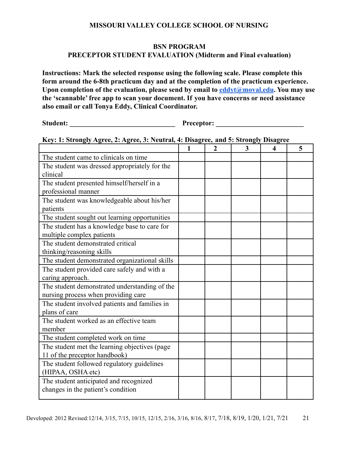#### **BSN PROGRAM PRECEPTOR STUDENT EVALUATION (Midterm and Final evaluation)**

<span id="page-21-0"></span>**Instructions: Mark the selected response using the following scale. Please complete this form around the 6-8th practicum day and at the completion of the practicum experience. Upon completion of the evaluation, please send by email to [eddyt@moval.edu](mailto:eddyt@moval.edu). You may use the 'scannable' free app to scan your document. If you have concerns or need assistance also email or call Tonya Eddy, Clinical Coordinator.**

**Student: \_\_\_\_\_\_\_\_\_\_\_\_\_\_\_\_\_\_\_\_\_\_\_\_\_\_\_\_\_\_ Preceptor: \_\_\_\_\_\_\_\_\_\_\_\_\_\_\_\_\_\_\_\_\_\_\_\_\_**

## **Key: 1: Strongly Agree, 2: Agree, 3: Neutral, 4: Disagree, and 5: Strongly Disagree**

|                                                | 1 | $\overline{2}$ | 3 | 4 | 5 |
|------------------------------------------------|---|----------------|---|---|---|
| The student came to clinicals on time          |   |                |   |   |   |
| The student was dressed appropriately for the  |   |                |   |   |   |
| clinical                                       |   |                |   |   |   |
| The student presented himself/herself in a     |   |                |   |   |   |
| professional manner                            |   |                |   |   |   |
| The student was knowledgeable about his/her    |   |                |   |   |   |
| patients                                       |   |                |   |   |   |
| The student sought out learning opportunities  |   |                |   |   |   |
| The student has a knowledge base to care for   |   |                |   |   |   |
| multiple complex patients                      |   |                |   |   |   |
| The student demonstrated critical              |   |                |   |   |   |
| thinking/reasoning skills                      |   |                |   |   |   |
| The student demonstrated organizational skills |   |                |   |   |   |
| The student provided care safely and with a    |   |                |   |   |   |
| caring approach.                               |   |                |   |   |   |
| The student demonstrated understanding of the  |   |                |   |   |   |
| nursing process when providing care            |   |                |   |   |   |
| The student involved patients and families in  |   |                |   |   |   |
| plans of care                                  |   |                |   |   |   |
| The student worked as an effective team        |   |                |   |   |   |
| member                                         |   |                |   |   |   |
| The student completed work on time             |   |                |   |   |   |
| The student met the learning objectives (page  |   |                |   |   |   |
| 11 of the preceptor handbook)                  |   |                |   |   |   |
| The student followed regulatory guidelines     |   |                |   |   |   |
| (HIPAA, OSHA etc)                              |   |                |   |   |   |
| The student anticipated and recognized         |   |                |   |   |   |
| changes in the patient's condition             |   |                |   |   |   |
|                                                |   |                |   |   |   |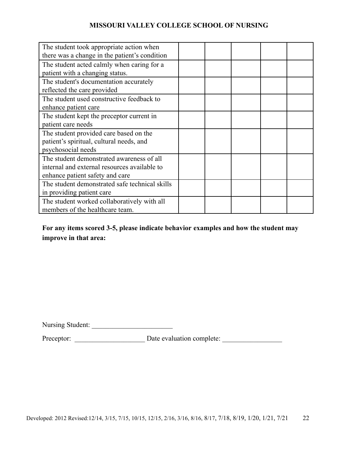| The student took appropriate action when       |  |  |  |
|------------------------------------------------|--|--|--|
| there was a change in the patient's condition  |  |  |  |
| The student acted calmly when caring for a     |  |  |  |
| patient with a changing status.                |  |  |  |
| The student's documentation accurately         |  |  |  |
| reflected the care provided                    |  |  |  |
| The student used constructive feedback to      |  |  |  |
| enhance patient care                           |  |  |  |
| The student kept the preceptor current in      |  |  |  |
| patient care needs                             |  |  |  |
| The student provided care based on the         |  |  |  |
| patient's spiritual, cultural needs, and       |  |  |  |
| psychosocial needs                             |  |  |  |
| The student demonstrated awareness of all      |  |  |  |
| internal and external resources available to   |  |  |  |
| enhance patient safety and care                |  |  |  |
| The student demonstrated safe technical skills |  |  |  |
| in providing patient care                      |  |  |  |
| The student worked collaboratively with all    |  |  |  |
| members of the healthcare team.                |  |  |  |

## **For any items scored 3-5, please indicate behavior examples and how the student may improve in that area:**

Nursing Student: \_\_\_\_\_\_\_\_\_\_\_\_\_\_\_\_\_\_\_\_\_\_\_

Preceptor: \_\_\_\_\_\_\_\_\_\_\_\_\_\_\_\_\_\_\_\_ Date evaluation complete: \_\_\_\_\_\_\_\_\_\_\_\_\_\_\_\_\_